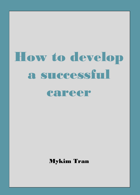# How to develop a successful

# career

Mykim Tran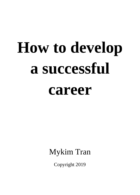# **How to develop a successful**

# **career**

Mykim Tran

Copyright 2019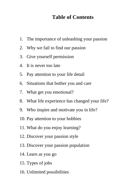# **Table of Contents**

- 1. The importance of unleashing your passion
- 2. Why we fail to find our passion
- 3. Give yourself permission
- 4. It is never too late
- 5. Pay attention to your life detail
- 6. Situations that bother you and care
- 7. What get you emotional?
- 8. What life experience has changed your life?
- 9. Who inspire and motivate you in life?
- 10. Pay attention to your hobbies
- 11. What do you enjoy learning?
- 12. Discover your passion style
- 13. Discover your passion population
- 14. Learn as you go
- 15. Types of jobs
- 16. Unlimited possibilities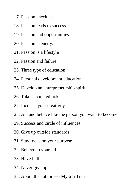- 17. Passion checklist
- 18. Passion leads to success
- 19. Passion and opportunities
- 20. Passion is energy
- 21. Passion is a lifestyle
- 22. Passion and failure
- 23. Three type of education
- 24. Personal development education
- 25. Develop an entrepreneurship spirit
- 26. Take calculated risks
- 27. Increase your creativity
- 28. Act and behave like the person you want to become
- 29. Success and circle of influences
- 30. Give up outside standards
- 31. Stay focus on your purpose
- 32. Believe in yourself
- 33. Have faith
- 34. Never give up
- 35. About the author ---- Mykim Tran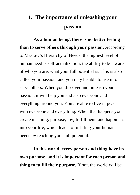# **1. The importance of unleashing your passion**

**As a human being, there is no better feeling than to serve others through your passion.** According to Maslow's Hierarchy of Needs, the highest level of human need is self-actualization, the ability to be aware of who you are, what your full potential is. This is also called your passion, and you may be able to use it to serve others. When you discover and unleash your passion, it will help you and also everyone and everything around you. You are able to live in peace with everyone and everything. When that happens you create meaning, purpose, joy, fulfillment, and happiness into your life, which leads to fulfilling your human needs by reaching your full potential.

**In this world, every person and thing have its own purpose, and it is important for each person and thing to fulfill their purpose.** If not, the world will be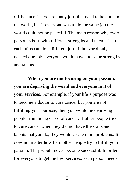off-balance. There are many jobs that need to be done in the world, but if everyone was to do the same job the world could not be peaceful. The main reason why every person is born with different strengths and talents is so each of us can do a different job. If the world only needed one job, everyone would have the same strengths and talents.

**When you are not focusing on your passion, you are depriving the world and everyone in it of your services.** For example, if your life's purpose was to become a doctor to cure cancer but you are not fulfilling your purpose, then you would be depriving people from being cured of cancer. If other people tried to cure cancer when they did not have the skills and talents that you do, they would create more problems. It does not matter how hard other people try to fulfill your passion. They would never become successful. In order for everyone to get the best services, each person needs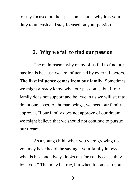to stay focused on their passion. That is why it is your duty to unleash and stay focused on your passion.

## **2. Why we fail to find our passion**

The main reason why many of us fail to find our passion is because we are influenced by external factors. **The first influence comes from our family.** Sometimes we might already know what our passion is, but if our family does not support and believe in us we will start to doubt ourselves. As human beings, we need our family's approval. If our family does not approve of our dream, we might believe that we should not continue to pursue our dream.

As a young child, when you were growing up you may have heard the saying, "your family knows what is best and always looks out for you because they love you." That may be true, but when it comes to your

3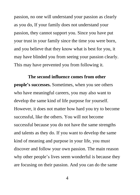passion, no one will understand your passion as clearly as you do, If your family does not understand your passion, they cannot support you. Since you have put your trust in your family since the time you were born, and you believe that they know what is best for you, it may have blinded you from seeing your passion clearly. This may have prevented you from following it.

**The second influence comes from other people's successes.** Sometimes, when you see others who have meaningful careers, you may also want to develop the same kind of life purpose for yourself. However, it does not matter how hard you try to become successful, like the others. You will not become successful because you do not have the same strengths and talents as they do. If you want to develop the same kind of meaning and purpose in your life, you must discover and follow your own passion. The main reason why other people's lives seem wonderful is because they are focusing on their passion. And you can do the same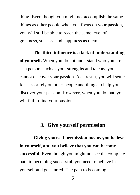thing! Even though you might not accomplish the same things as other people when you focus on your passion, you will still be able to reach the same level of greatness, success, and happiness as them.

**The third influence is a lack of understanding of yourself.** When you do not understand who you are as a person, such as your strengths and talents, you cannot discover your passion. As a result, you will settle for less or rely on other people and things to help you discover your passion. However, when you do that, you will fail to find your passion.

# **3. Give yourself permission**

**Giving yourself permission means you believe in yourself, and you believe that you can become successful.** Even though you might not see the complete path to becoming successful, you need to believe in yourself and get started. The path to becoming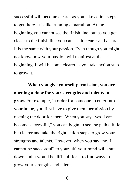successful will become clearer as you take action steps to get there. It is like running a marathon. At the beginning you cannot see the finish line, but as you get closer to the finish line you can see it clearer and clearer. It is the same with your passion. Even though you might not know how your passion will manifest at the beginning, it will become clearer as you take action step to grow it.

**When you give yourself permission, you are opening a door for your strengths and talents to grow.** For example, in order for someone to enter into your home, you first have to give them permission by opening the door for them. When you say "yes, I can become successful," you can begin to see the path a little bit clearer and take the right action steps to grow your strengths and talents. However, when you say "no, I cannot be successful" to yourself, your mind will shut down and it would be difficult for it to find ways to grow your strengths and talents.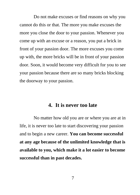Do not make excuses or find reasons on why you cannot do this or that. The more you make excuses the more you close the door to your passion. Whenever you come up with an excuse or a reason, you put a brick in front of your passion door. The more excuses you come up with, the more bricks will be in front of your passion door. Soon, it would become very difficult for you to see your passion because there are so many bricks blocking the doorway to your passion.

# **4. It is never too late**

No matter how old you are or where you are at in life, it is never too late to start discovering your passion and to begin a new career. **You can become successful at any age because of the unlimited knowledge that is available to you, which make it a lot easier to become successful than in past decades.**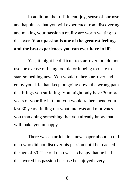In addition, the fulfillment, joy, sense of purpose and happiness that you will experience from discovering and making your passion a reality are worth waiting to discover. **Your passion is one of the greatest feelings and the best experiences you can ever have in life.** 

Yes, it might be difficult to start over, but do not use the excuse of being too old or it being too late to start something new. You would rather start over and enjoy your life than keep on going down the wrong path that brings you suffering. You might only have 30 more years of your life left, but you would rather spend your last 30 years finding out what interests and motivates you than doing something that you already know that will make you unhappy.

There was an article in a newspaper about an old man who did not discover his passion until he reached the age of 80. The old man was so happy that he had discovered his passion because he enjoyed every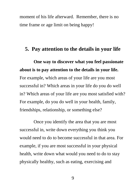moment of his life afterward. Remember, there is no time frame or age limit on being happy!

# **5. Pay attention to the details in your life**

**One way to discover what you feel passionate about is to pay attention to the details in your life.** For example, which areas of your life are you most successful in? Which areas in your life do you do well in? Which areas of your life are you most satisfied with? For example, do you do well in your health, family, friendships, relationship, or something else?

Once you identify the area that you are most successful in, write down everything you think you would need to do to become successful in that area. For example, if you are most successful in your physical health, write down what would you need to do to stay physically healthy, such as eating, exercising and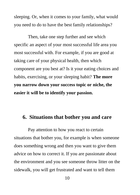sleeping. Or, when it comes to your family, what would you need to do to have the best family relationships?

Then, take one step further and see which specific an aspect of your most successful life area you most successful with. For example, if you are good at taking care of your physical health, then which component are you best at? Is it your eating choices and habits, exercising, or your sleeping habit? **The more you narrow down your success topic or niche, the easier it will be to identify your passion.**

## **6. Situations that bother you and care**

Pay attention to how you react to certain situations that bother you, for example is when someone does something wrong and then you want to give them advice on how to correct it. If you are passionate about the environment and you see someone throw litter on the sidewalk, you will get frustrated and want to tell them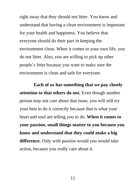right away that they should not litter. You know and understand that having a clean environment is important for your health and happiness. You believe that everyone should do their part in keeping the environment clean. When it comes to your own life, you do not litter. Also, you are willing to pick up other people's litter because you want to make sure the environment is clean and safe for everyone.

**Each of us has something that we pay closely attention to that others do not.** Even though another person may not care about that issue, you will still try your best to do it correctly because that is what your heart and soul are telling you to do. **When it comes to your passion, small things matter to you because you know and understand that they could make a big difference.** Only with passion would you would take action, because you really care about it.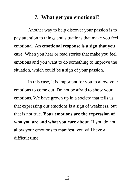# **7. What get you emotional?**

Another way to help discover your passion is to pay attention to things and situations that make you feel emotional. **An emotional response is a sign that you care.** When you hear or read stories that make you feel emotions and you want to do something to improve the situation, which could be a sign of your passion.

In this case, it is important for you to allow your emotions to come out. Do not be afraid to show your emotions. We have grown up in a society that tells us that expressing our emotions is a sign of weakness, but that is not true. **Your emotions are the expression of who you are and what you care about.** If you do not allow your emotions to manifest, you will have a difficult time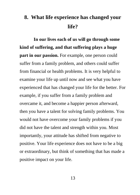# **8. What life experience has changed your life?**

**In our lives each of us will go through some kind of suffering, and that suffering plays a huge part in our passion.** For example, one person could suffer from a family problem, and others could suffer from financial or health problems. It is very helpful to examine your life up until now and see what you have experienced that has changed your life for the better. For example, if you suffer from a family problem and overcame it, and become a happier person afterward, then you have a talent for solving family problems. You would not have overcome your family problems if you did not have the talent and strength within you. Most importantly, your attitude has shifted from negative to positive. Your life experience does not have to be a big or extraordinary, but think of something that has made a positive impact on your life.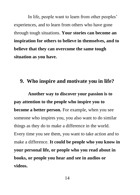In life, people want to learn from other peoples' experiences, and to learn from others who have gone through tough situations. **Your stories can become an inspiration for others to believe in themselves, and to believe that they can overcome the same tough situation as you have.** 

# **9. Who inspire and motivate you in life?**

**Another way to discover your passion is to pay attention to the people who inspire you to become a better person.** For example, when you see someone who inspires you, you also want to do similar things as they do to make a difference in the world. Every time you see them, you want to take action and to make a difference. **It could be people who you know in your personal life, or people who you read about in books, or people you hear and see in audios or videos.**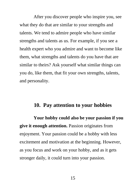After you discover people who inspire you, see what they do that are similar to your strengths and talents. We tend to admire people who have similar strengths and talents as us. For example, if you see a health expert who you admire and want to become like them, what strengths and talents do you have that are similar to theirs? Ask yourself what similar things can you do, like them, that fit your own strengths, talents, and personality.

#### **10. Pay attention to your hobbies**

**Your hobby could also be your passion if you give it enough attention.** Passion originates from enjoyment. Your passion could be a hobby with less excitement and motivation at the beginning. However, as you focus and work on your hobby, and as it gets stronger daily, it could turn into your passion.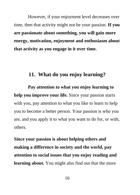However, if your enjoyment level decreases over time, then that activity might not be your passion. **If you are passionate about something, you will gain more energy, motivation, enjoyment and enthusiasm about that activity as you engage in it over time.**

# **11. What do you enjoy learning?**

**Pay attention to what you enjoy learning to help you improve your life.** Since your passion starts with you, pay attention to what you like to learn to help you to become a better person. Your passion is who you are, and you apply it to what you want to do for, or with, others.

**Since your passion is about helping others and making a difference in society and the world, pay attention to social issues that you enjoy reading and learning about.** You might also find out that the more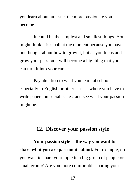you learn about an issue, the more passionate you become.

It could be the simplest and smallest things. You might think it is small at the moment because you have not thought about how to grow it, but as you focus and grow your passion it will become a big thing that you can turn it into your career.

Pay attention to what you learn at school, especially in English or other classes where you have to write papers on social issues, and see what your passion might be.

# **12. Discover your passion style**

**Your passion style is the way you want to share what you are passionate about.** For example, do you want to share your topic in a big group of people or small group? Are you more comfortable sharing your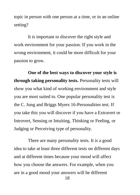topic in person with one person at a time, or in an online setting?

It is important to discover the right style and work environment for your passion. If you work in the wrong environment, it could be more difficult for your passion to grow.

**One of the best ways to discover your style is through taking personality tests.** Personality tests will show you what kind of working environment and style you are most suited to. One popular personality test is the C. Jung and Briggs Myers 16-Personalities test. If you take this you will discover if you have a Extravert or Introvert, Sensing or Intuiting, Thinking or Feeling, or Judging or Perceiving type of personality.

There are many personality tests. It is a good idea to take at least three different tests on different days and at different times because your mood will affect how you choose the answers. For example, when you are in a good mood your answers will be different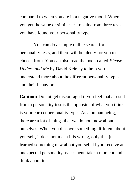compared to when you are in a negative mood. When you get the same or similar test results from three tests, you have found your personality type.

You can do a simple online search for personality tests, and there will be plenty for you to choose from. You can also read the book called *Please Understand Me* by David Keirsey to help you understand more about the different personality types and their behaviors.

**Caution:** Do not get discouraged if you feel that a result from a personality test is the opposite of what you think is your correct personality type. As a human being, there are a lot of things that we do not know about ourselves. When you discover something different about yourself, it does not mean it is wrong, only that just learned something new about yourself. If you receive an unexpected personality assessment, take a moment and think about it.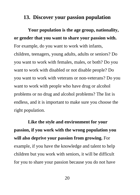# **13. Discover your passion population**

**Your population is the age group, nationality, or gender that you want to share your passion with.** For example, do you want to work with infants, children, teenagers, young adults, adults or seniors? Do you want to work with females, males, or both? Do you want to work with disabled or not disable people? Do you want to work with veterans or non-veterans? Do you want to work with people who have drug or alcohol problems or no drug and alcohol problems? The list is endless, and it is important to make sure you choose the right population.

**Like the style and environment for your passion, if you work with the wrong population you will also deprive your passion from growing.** For example, if you have the knowledge and talent to help children but you work with seniors, it will be difficult for you to share your passion because you do not have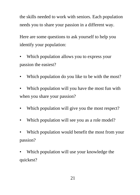the skills needed to work with seniors. Each population needs you to share your passion in a different way.

Here are some questions to ask yourself to help you identify your population:

• Which population allows you to express your passion the easiest?

Which population do you like to be with the most?

Which population will you have the most fun with when you share your passion?

- Which population will give you the most respect?
- Which population will see you as a role model?
- Which population would benefit the most from your passion?
- Which population will use your knowledge the quickest?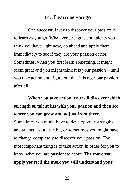# **14. Learn as you go**

One successful way to discover your passion is to learn as you go. Whatever strengths and talents you think you have right now, go ahead and apply them immediately to see if they are your passion or not. Sometimes, when you first learn something, it might seem great and you might think it is your passion—until you take action and figure out that it is not your passion after all.

**When you take action, you will discover which strength or talent fits with your passion and then see where you can grow and adjust from there.**

Sometimes you might have to develop your strengths and talents just a little bit, or sometimes you might have to change completely to discover your passion. The most important thing is to take action in order for you to know what you are passionate about. **The more you apply yourself the more you will understand your**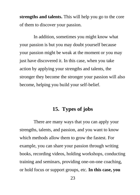**strengths and talents.** This will help you go to the core of them to discover your passion.

In addition, sometimes you might know what your passion is but you may doubt yourself because your passion might be weak at the moment or you may just have discovered it. In this case, when you take action by applying your strengths and talents, the stronger they become the stronger your passion will also become, helping you build your self-belief.

# **15. Types of jobs**

There are many ways that you can apply your strengths, talents, and passion, and you want to know which methods allow them to grow the fastest. For example, you can share your passion through writing books, recording videos, holding workshops, conducting training and seminars, providing one-on-one coaching, or hold focus or support groups, etc. **In this case, you**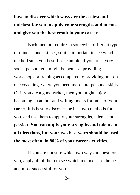# **have to discover which ways are the easiest and quickest for you to apply your strengths and talents and give you the best result in your career.**

Each method requires a somewhat different type of mindset and skillset, so it is important to see which method suits you best. For example, if you are a very social person, you might be better at providing workshops or training as compared to providing one-onone coaching, where you need more interpersonal skills. Or if you are a good writer, then you might enjoy becoming an author and writing books for most of your career. It is best to discover the best two methods for you, and use them to apply your strengths, talents and passion. **You can apply your strengths and talents in all directions, but your two best ways should be used the most often, in 80% of your career activities.** 

If you are not sure which two ways are best for you, apply all of them to see which methods are the best and most successful for you.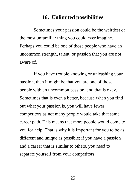# **16. Unlimited possibilities**

Sometimes your passion could be the weirdest or the most unfamiliar thing you could ever imagine. Perhaps you could be one of those people who have an uncommon strength, talent, or passion that you are not aware of.

If you have trouble knowing or unleashing your passion, then it might be that you are one of those people with an uncommon passion, and that is okay. Sometimes that is even a better, because when you find out what your passion is, you will have fewer competitors as not many people would take that same career path. This means that more people would come to you for help. That is why it is important for you to be as different and unique as possible; if you have a passion and a career that is similar to others, you need to separate yourself from your competitors.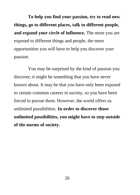**To help you find your passion, try to read new things, go to different places, talk to different people, and expand your circle of influence.** The more you are exposed to different things and people, the more opportunities you will have to help you discover your passion.

You may be surprised by the kind of passion you discover; it might be something that you have never known about. It may be that you have only been exposed to certain common careers in society, so you have been forced to pursue them. However, the world offers us unlimited possibilities. **In order to discover those unlimited possibilities, you might have to step outside of the norms of society.**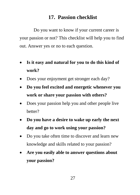# **17. Passion checklist**

Do you want to know if your current career is your passion or not? This checklist will help you to find out. Answer yes or no to each question.

- **Is it easy and natural for you to do this kind of work?**
- Does your enjoyment get stronger each day?
- **Do you feel excited and energetic whenever you work or share your passion with others?**
- Does your passion help you and other people live better?
- **Do you have a desire to wake up early the next day and go to work using your passion?**
- Do you take often time to discover and learn new knowledge and skills related to your passion?
- **Are you easily able to answer questions about your passion?**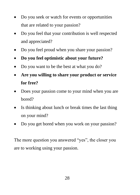- Do you seek or watch for events or opportunities that are related to your passion?
- Do you feel that your contribution is well respected and appreciated?
- Do you feel proud when you share your passion?
- **Do you feel optimistic about your future?**
- Do you want to be the best at what you do?
- **Are you willing to share your product or service for free?**
- Does your passion come to your mind when you are bored?
- Is thinking about lunch or break times the last thing on your mind?
- Do you get bored when you work on your passion?

The more question you answered "yes", the closer you are to working using your passion.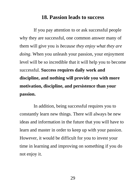# **18. Passion leads to success**

If you pay attention to or ask successful people why they are successful, one common answer many of them will give you is *because they enjoy what they are doing*. When you unleash your passion, your enjoyment level will be so incredible that it will help you to become successful. **Success requires daily work and discipline, and nothing will provide you with more motivation, discipline, and persistence than your passion.**

In addition, being successful requires you to constantly learn new things. There will always be new ideas and information in the future that you will have to learn and master in order to keep up with your passion. However, it would be difficult for you to invest your time in learning and improving on something if you do not enjoy it.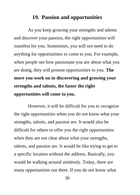# **19. Passion and opportunities**

As you keep growing your strengths and talents and discover your passion, the right opportunities will manifest for you. Sometimes, you will not need to do anything for opportunities to come to you. For example, when people see how passionate you are about what you are doing, they will present opportunities to you. **The more you work on in discovering and growing your strengths and talents, the faster the right opportunities will come to you.** 

However, it will be difficult for you to recognize the right opportunities when you do not know what your strengths, talents, and passion are. It would also be difficult for others to offer you the right opportunities when they are not clear about what your strengths, talents, and passion are. It would be like trying to get to a specific location without the address. Basically, you would be walking around aimlessly. Today, there are many opportunities out there. If you do not know what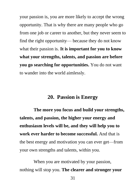your passion is, you are more likely to accept the wrong opportunity. That is why there are many people who go from one job or career to another, but they never seem to find the right opportunity— because they do not know what their passion is. **It is important for you to know what your strengths, talents, and passion are before you go searching for opportunities.** You do not want to wander into the world aimlessly.

# **20. Passion is Energy**

**The more you focus and build your strengths, talents, and passion, the higher your energy and enthusiasm levels will be, and they will help you to work ever harder to become successful.** And that is the best energy and motivation you can ever get—from your own strengths and talents, within you.

When you are motivated by your passion, nothing will stop you. **The clearer and stronger your**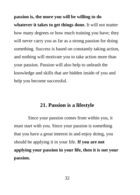**passion is, the more you will be willing to do whatever it takes to get things done.** It will not matter how many degrees or how much training you have; they will never carry you as far as a strong passion for doing something. Success is based on constantly taking action, and nothing will motivate you to take action more than your passion. Passion will also help to unleash the knowledge and skills that are hidden inside of you and help you become successful.

#### **21. Passion is a lifestyle**

Since your passion comes from within you, it must start with you. Since your passion is something that you have a great interest in and enjoy doing, you should be applying it in your life. **If you are not applying your passion in your life, then it is not your passion.**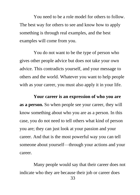You need to be a role model for others to follow. The best way for others to see and know how to apply something is through real examples, and the best examples will come from you.

You do not want to be the type of person who gives other people advice but does not take your own advice. This contradicts yourself, and your message to others and the world. Whatever you want to help people with as your career, you must also apply it in your life.

**Your career is an expression of who you are as a person.** So when people see your career, they will know something about who you are as a person. In this case, you do not need to tell others what kind of person you are; they can just look at your passion and your career. And that is the most powerful way you can tell someone about yourself—through your actions and your career.

Many people would say that their career does not indicate who they are because their job or career does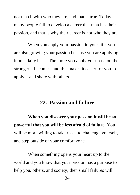not match with who they are, and that is true. Today, many people fail to develop a career that matches their passion, and that is why their career is not who they are.

When you apply your passion in your life, you are also growing your passion because you are applying it on a daily basis. The more you apply your passion the stronger it becomes, and this makes it easier for you to apply it and share with others.

# **22. Passion and failure**

**When you discover your passion it will be so powerful that you will be less afraid of failure.** You will be more willing to take risks, to challenge yourself, and step outside of your comfort zone.

When something opens your heart up to the world and you know that your passion has a purpose to help you, others, and society, then small failures will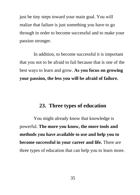just be tiny steps toward your main goal. You will realize that failure is just something you have to go through in order to become successful and to make your passion stronger.

In addition, to become successful it is important that you not to be afraid to fail because that is one of the best ways to learn and grow. **As you focus on growing your passion, the less you will be afraid of failure.** 

# **23. Three types of education**

You might already know that knowledge is powerful. **The more you know, the more tools and methods you have available to use and help you to become successful in your career and life.** There are three types of education that can help you to learn more.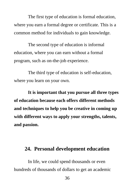The first type of education is formal education, where you earn a formal degree or certificate. This is a common method for individuals to gain knowledge.

The second type of education is informal education, where you can earn without a formal program, such as on-the-job experience.

The third type of education is self-education, where you learn on your own.

**It is important that you pursue all three types of education because each offers different methods and techniques to help you be creative in coming up with different ways to apply your strengths, talents, and passion.**

# **24. Personal development education**

In life, we could spend thousands or even hundreds of thousands of dollars to get an academic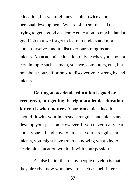education, but we might never think twice about personal development. We are often so focused on trying to get a good academic education to maybe land a good job that we forget to learn to understand more about ourselves and to discover our strengths and talents. An academic education only teaches you about a certain topic such as math, science, computers, etc., but not about yourself or how to discover your strengths and talents.

**Getting an academic education is good or even great, but getting the right academic education for you is what matters.** Your academic education should fit with your interests, strengths, and talents and develop your passion. However, if you never really learn about yourself and how to unleash your strengths and talents, you might have trouble knowing what kind of academic education would fit with your passion.

A false belief that many people develop is that they already know who they are, such as their interests,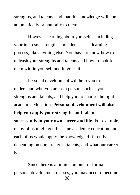strengths, and talents, and that this knowledge will come automatically or naturally to them.

However, learning about yourself—including your interests, strengths and talents—is a learning process, like anything else. You have to know how to unleash your strengths and talents and how to look for them within yourself and in your life.

Personal development will help you to understand who you are as a person, such as your strengths and talents, and help you to choose the right academic education. **Personal development will also help you apply your strengths and talents successfully in your own career and life.** For example, many of us might get the same academic education but each of us would apply the knowledge differently depending on our strengths, talents, and what our career is.

38 Since there is a limited amount of formal personal development classes, you may need to become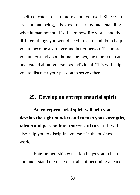a self-educator to learn more about yourself. Since you are a human being, it is good to start by understanding what human potential is. Learn how life works and the different things you would need to learn and do to help you to become a stronger and better person. The more you understand about human beings, the more you can understand about yourself as individual. This will help you to discover your passion to serve others.

# **25. Develop an entrepreneurial spirit**

**An entrepreneurial spirit will help you develop the right mindset and to turn your strengths, talents and passion into a successful career.** It will also help you to discipline yourself in the business world.

Entrepreneurship education helps you to learn and understand the different traits of becoming a leader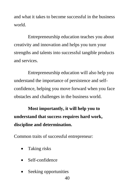and what it takes to become successful in the business world.

Entrepreneurship education teaches you about creativity and innovation and helps you turn your strengths and talents into successful tangible products and services.

Entrepreneurship education will also help you understand the importance of persistence and selfconfidence, helping you move forward when you face obstacles and challenges in the business world.

**Most importantly, it will help you to understand that success requires hard work, discipline and determination.** 

Common traits of successful entrepreneur:

- Taking risks
- Self-confidence
- Seeking opportunities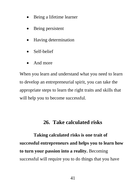- Being a lifetime learner
- Being persistent
- Having determination
- Self-belief
- And more

When you learn and understand what you need to learn to develop an entrepreneurial spirit, you can take the appropriate steps to learn the right traits and skills that will help you to become successful.

# **26. Take calculated risks**

**Taking calculated risks is one trait of successful entrepreneurs and helps you to learn how to turn your passion into a reality.** Becoming successful will require you to do things that you have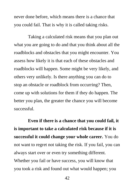never done before, which means there is a chance that you could fail. That is why it is called taking risks.

Taking a calculated risk means that you plan out what you are going to do and that you think about all the roadblocks and obstacles that you might encounter. You assess how likely it is that each of these obstacles and roadblocks will happen. Some might be very likely, and others very unlikely. Is there anything you can do to stop an obstacle or roadblock from occurring? Then, come up with solutions for them if they do happen. The better you plan, the greater the chance you will become successful.

**Even if there is a chance that you could fail, it is important to take a calculated risk because if it is successful it could change your whole career.** You do not want to regret not taking the risk. If you fail, you can always start over or even try something different. Whether you fail or have success, you will know that you took a risk and found out what would happen; you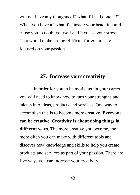will not have any thoughts of "what if I had done it?" When you have a "what if?" inside your head, it could cause you to doubt yourself and increase your stress. That would make it more difficult for you to stay focused on your passion.

# **27. Increase your creativity**

In order for you to be motivated in your career, you will need to know how to turn your strengths and talents into ideas, products and services. One way to accomplish this is to become more creative. **Everyone can be creative. Creativity is about doing things in different ways.** The more creative you become, the more often you can make with different tools and discover new knowledge and skills to help you create products and services as part of your passion. There are five ways you can increase your creativity.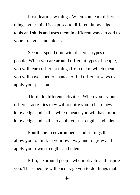First, learn new things. When you learn different things, your mind is exposed to different knowledge, tools and skills and uses them in different ways to add to your strengths and talents.

Second, spend time with different types of people. When you are around different types of people, you will learn different things from them, which means you will have a better chance to find different ways to apply your passion.

Third, do different activities. When you try out different activities they will require you to learn new knowledge and skills, which means you will have more knowledge and skills to apply your strengths and talents.

Fourth, be in environments and settings that allow you to think in your own way and to grow and apply your own strengths and talents.

Fifth, be around people who motivate and inspire you. These people will encourage you to do things that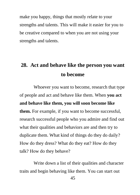make you happy, things that mostly relate to your strengths and talents. This will make it easier for you to be creative compared to when you are not using your strengths and talents.

# **28. Act and behave like the person you want to become**

Whoever you want to become, research that type of people and act and behave like them. When **you act and behave like them, you will soon become like them.** For example, if you want to become successful, research successful people who you admire and find out what their qualities and behaviors are and then try to duplicate them. What kind of things do they do daily? How do they dress? What do they eat? How do they talk? How do they behave?

Write down a list of their qualities and character traits and begin behaving like them. You can start out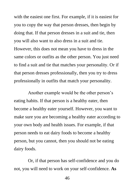with the easiest one first. For example, if it is easiest for you to copy the way that person dresses, then begin by doing that. If that person dresses in a suit and tie, then you will also want to also dress in a suit and tie. However, this does not mean you have to dress in the same colors or outfits as the other person. You just need to find a suit and tie that matches your personality. Or if that person dresses professionally, then you try to dress professionally in outfits that match your personality.

Another example would be the other person's eating habits. If that person is a healthy eater, then become a healthy eater yourself. However, you want to make sure you are becoming a healthy eater according to your own body and health issues. For example, if that person needs to eat dairy foods to become a healthy person, but you cannot, then you should not be eating dairy foods.

Or, if that person has self-confidence and you do not, you will need to work on your self-confidence. **As**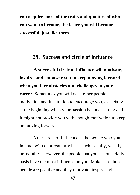**you acquire more of the traits and qualities of who you want to become, the faster you will become successful, just like them.**

## **29. Success and circle of influence**

**A successful circle of influence will motivate, inspire, and empower you to keep moving forward when you face obstacles and challenges in your career.** Sometimes you will need other people's motivation and inspiration to encourage you, especially at the beginning when your passion is not as strong and it might not provide you with enough motivation to keep on moving forward.

Your circle of influence is the people who you interact with on a regularly basis such as daily, weekly or monthly. However, the people that you see on a daily basis have the most influence on you. Make sure those people are positive and they motivate, inspire and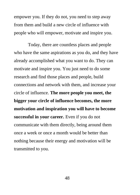empower you. If they do not, you need to step away from them and build a new circle of influence with people who will empower, motivate and inspire you.

Today, there are countless places and people who have the same aspirations as you do, and they have already accomplished what you want to do. They can motivate and inspire you. You just need to do some research and find those places and people, build connections and network with them, and increase your circle of influence. **The more people you meet, the bigger your circle of influence becomes, the more motivation and inspiration you will have to become successful in your career.** Even if you do not communicate with them directly, being around them once a week or once a month would be better than nothing because their energy and motivation will be transmitted to you.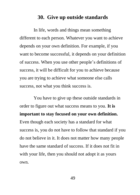# **30. Give up outside standards**

In life, words and things mean something different to each person. Whatever you want to achieve depends on your own definition. For example, if you want to become successful, it depends on your definition of success. When you use other people's definitions of success, it will be difficult for you to achieve because you are trying to achieve what someone else calls success, not what you think success is.

You have to give up these outside standards in order to figure out what success means to you. **It is important to stay focused on your own definition.** Even though each society has a standard for what success is, you do not have to follow that standard if you do not believe in it. It does not matter how many people have the same standard of success. If it does not fit in with your life, then you should not adopt it as yours own.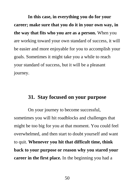**In this case, in everything you do for your career; make sure that you do it in your own way, in the way that fits who you are as a person.** When you are working toward your own standard of success, it will be easier and more enjoyable for you to accomplish your goals. Sometimes it might take you a while to reach your standard of success, but it will be a pleasant journey.

# **31. Stay focused on your purpose**

On your journey to become successful, sometimes you will hit roadblocks and challenges that might be too big for you at that moment. You could feel overwhelmed, and then start to doubt yourself and want to quit. **Whenever you hit that difficult time, think back to your purpose or reason why you stared your career in the first place.** In the beginning you had a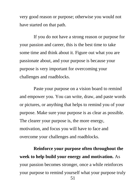very good reason or purpose; otherwise you would not have started on that path.

If you do not have a strong reason or purpose for your passion and career, this is the best time to take some time and think about it. Figure out what you are passionate about, and your purpose is because your purpose is very important for overcoming your challenges and roadblocks.

Paste your purpose on a vision board to remind and empower you. You can write, draw, and paste words or pictures, or anything that helps to remind you of your purpose. Make sure your purpose is as clear as possible. The clearer your purpose is, the more energy, motivation, and focus you will have to face and overcome your challenges and roadblocks.

**Reinforce your purpose often throughout the week to help build your energy and motivation.** As your passion becomes stronger, once a while reinforces your purpose to remind yourself what your purpose truly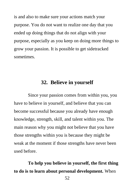is and also to make sure your actions match your purpose. You do not want to realize one day that you ended up doing things that do not align with your purpose, especially as you keep on doing more things to grow your passion. It is possible to get sidetracked sometimes.

# **32. Believe in yourself**

Since your passion comes from within you, you have to believe in yourself, and believe that you can become successful because you already have enough knowledge, strength, skill, and talent within you. The main reason why you might not believe that you have those strengths within you is because they might be weak at the moment if those strengths have never been used before.

**To help you believe in yourself, the first thing to do is to learn about personal development.** When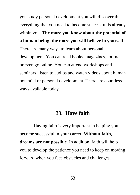you study personal development you will discover that everything that you need to become successful is already within you. **The more you know about the potential of a human being, the more you will believe in yourself.** There are many ways to learn about personal development. You can read books, magazines, journals, or even go online. You can attend workshops and seminars, listen to audios and watch videos about human potential or personal development. There are countless ways available today.

#### **33. Have faith**

Having faith is very important in helping you become successful in your career. **Without faith, dreams are not possible.** In addition, faith will help you to develop the patience you need to keep on moving forward when you face obstacles and challenges.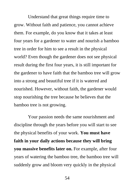Understand that great things require time to grow. Without faith and patience, you cannot achieve them. For example, do you know that it takes at least four years for a gardener to water and nourish a bamboo tree in order for him to see a result in the physical world? Even though the gardener does not see physical result during the first four years, it is still important for the gardener to have faith that the bamboo tree will grow into a strong and beautiful tree if it is watered and nourished. However, without faith, the gardener would stop nourishing the tree because he believes that the bamboo tree is not growing.

Your passion needs the same nourishment and discipline through the years before you will start to see the physical benefits of your work. **You must have faith in your daily actions because they will bring you massive benefits later on.** For example, after four years of watering the bamboo tree, the bamboo tree will suddenly grow and bloom very quickly in the physical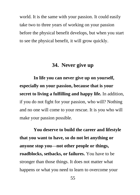world. It is the same with your passion. It could easily take two to three years of working on your passion before the physical benefit develops, but when you start to see the physical benefit, it will grow quickly.

# **34. Never give up**

**In life you can never give up on yourself, especially on your passion, because that is your secret to living a fulfilling and happy life.** In addition, if you do not fight for your passion, who will? Nothing and no one will come to your rescue. It is you who will make your passion possible.

**You deserve to build the career and lifestyle that you want to have, so do not let anything or anyone stop you—not other people or things, roadblocks, setbacks, or failures.** You have to be stronger than those things. It does not matter what happens or what you need to learn to overcome your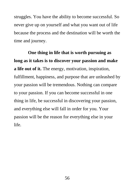struggles. You have the ability to become successful. So never give up on yourself and what you want out of life because the process and the destination will be worth the time and journey.

**One thing in life that is worth pursuing as long as it takes is to discover your passion and make a life out of it.** The energy, motivation, inspiration, fulfillment, happiness, and purpose that are unleashed by your passion will be tremendous. Nothing can compare to your passion. If you can become successful in one thing in life, be successful in discovering your passion, and everything else will fall in order for you. Your passion will be the reason for everything else in your life.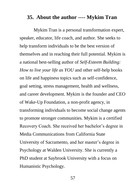#### **35. About the author ---- Mykim Tran**

Mykim Tran is a personal transformation expert, speaker, educator, life coach, and author. She seeks to help transform individuals to be the best version of themselves and in reaching their full potential. Mykim is a national best-selling author of *Self-Esteem Building: How to live your life as YOU* and other self-help books on life and happiness topics such as self-confidence, goal setting, stress management, health and wellness, and career development. Mykim is the founder and CEO of Wake-Up Foundation, a non-profit agency, in transforming individuals to become social change agents to promote stronger communities. Mykim is a certified Recovery Coach. She received her bachelor's degree in Media Communications from California State University of Sacramento, and her master's degree in Psychology at Walden University. She is currently a PhD student at Saybrook University with a focus on Humanistic Psychology.